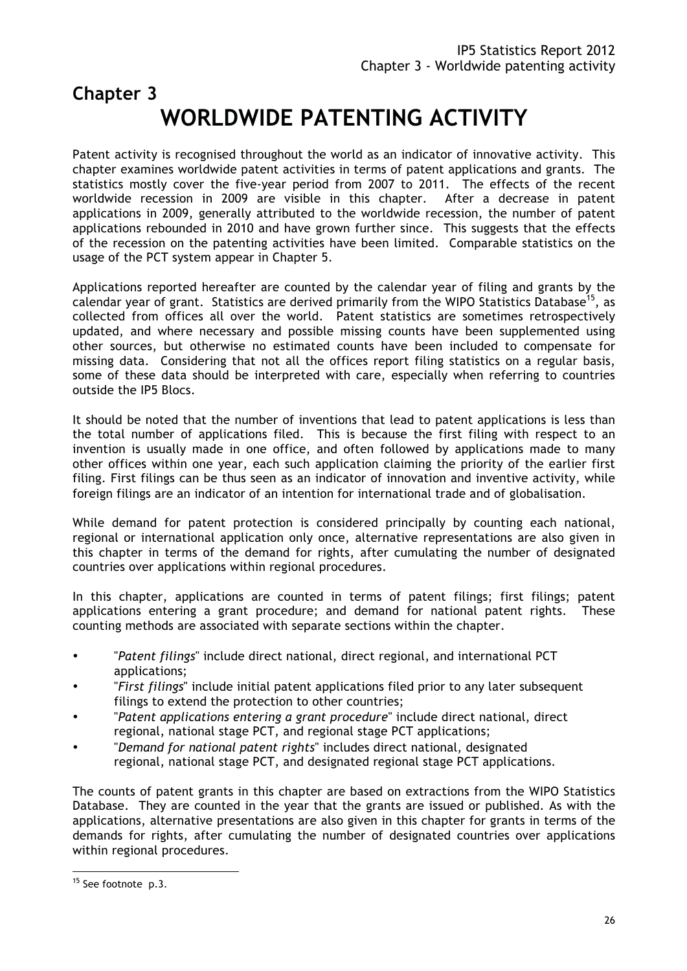# **Chapter 3 WORLDWIDE PATENTING ACTIVITY**

Patent activity is recognised throughout the world as an indicator of innovative activity. This chapter examines worldwide patent activities in terms of patent applications and grants. The statistics mostly cover the five-year period from 2007 to 2011. The effects of the recent worldwide recession in 2009 are visible in this chapter. After a decrease in patent applications in 2009, generally attributed to the worldwide recession, the number of patent applications rebounded in 2010 and have grown further since. This suggests that the effects of the recession on the patenting activities have been limited. Comparable statistics on the usage of the PCT system appear in Chapter 5.

Applications reported hereafter are counted by the calendar year of filing and grants by the calendar vear of grant. Statistics are derived primarily from the WIPO Statistics Database<sup>15</sup>, as collected from offices all over the world. Patent statistics are sometimes retrospectively updated, and where necessary and possible missing counts have been supplemented using other sources, but otherwise no estimated counts have been included to compensate for missing data. Considering that not all the offices report filing statistics on a regular basis, some of these data should be interpreted with care, especially when referring to countries outside the IP5 Blocs.

It should be noted that the number of inventions that lead to patent applications is less than the total number of applications filed. This is because the first filing with respect to an invention is usually made in one office, and often followed by applications made to many other offices within one year, each such application claiming the priority of the earlier first filing. First filings can be thus seen as an indicator of innovation and inventive activity, while foreign filings are an indicator of an intention for international trade and of globalisation.

While demand for patent protection is considered principally by counting each national, regional or international application only once, alternative representations are also given in this chapter in terms of the demand for rights, after cumulating the number of designated countries over applications within regional procedures.

In this chapter, applications are counted in terms of patent filings; first filings; patent applications entering a grant procedure; and demand for national patent rights. These counting methods are associated with separate sections within the chapter.

- "*Patent filings*" include direct national, direct regional, and international PCT applications;
- "*First filings*" include initial patent applications filed prior to any later subsequent filings to extend the protection to other countries;
- "*Patent applications entering a grant procedure*" include direct national, direct regional, national stage PCT, and regional stage PCT applications;
- "*Demand for national patent rights*" includes direct national, designated regional, national stage PCT, and designated regional stage PCT applications.

The counts of patent grants in this chapter are based on extractions from the WIPO Statistics Database. They are counted in the year that the grants are issued or published. As with the applications, alternative presentations are also given in this chapter for grants in terms of the demands for rights, after cumulating the number of designated countries over applications within regional procedures.

<sup>&</sup>lt;sup>15</sup> See footnote p.3.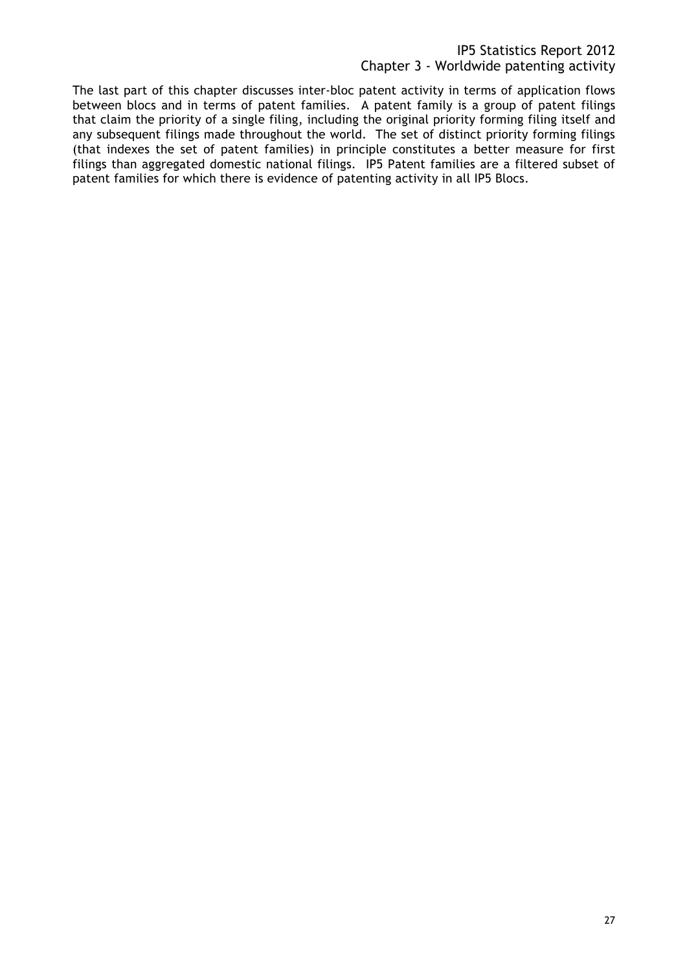The last part of this chapter discusses inter-bloc patent activity in terms of application flows between blocs and in terms of patent families. A patent family is a group of patent filings that claim the priority of a single filing, including the original priority forming filing itself and any subsequent filings made throughout the world. The set of distinct priority forming filings (that indexes the set of patent families) in principle constitutes a better measure for first filings than aggregated domestic national filings. IP5 Patent families are a filtered subset of patent families for which there is evidence of patenting activity in all IP5 Blocs.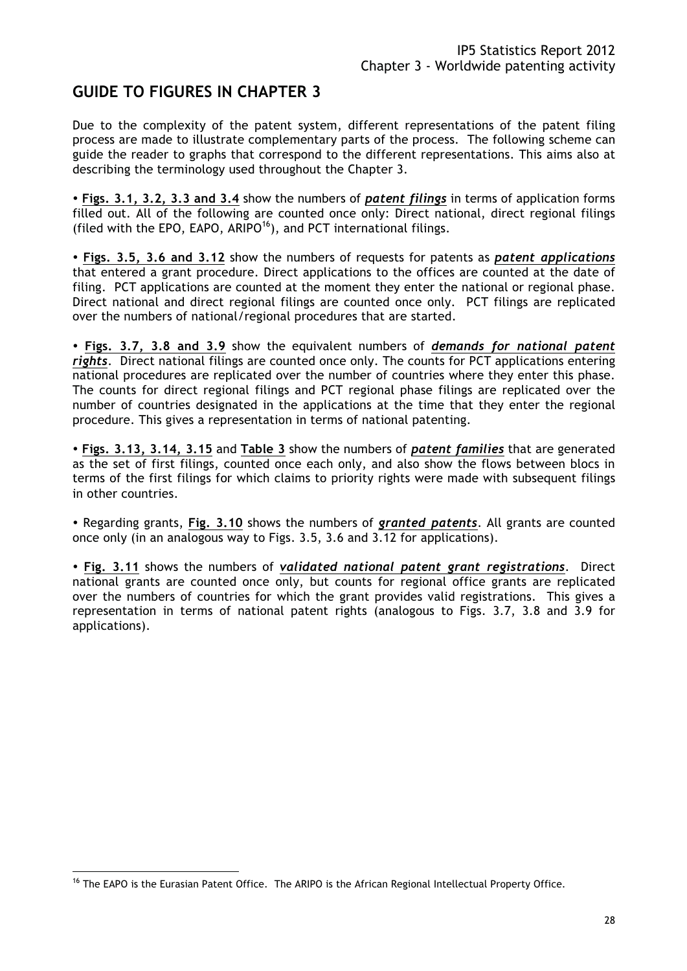# **GUIDE TO FIGURES IN CHAPTER 3**

Due to the complexity of the patent system, different representations of the patent filing process are made to illustrate complementary parts of the process. The following scheme can guide the reader to graphs that correspond to the different representations. This aims also at describing the terminology used throughout the Chapter 3.

- **Figs. 3.1, 3.2, 3.3 and 3.4** show the numbers of *patent filings* in terms of application forms filled out. All of the following are counted once only: Direct national, direct regional filings (filed with the EPO, EAPO, ARIPO<sup>16</sup>), and PCT international filings.

- **Figs. 3.5, 3.6 and 3.12** show the numbers of requests for patents as *patent applications* that entered a grant procedure. Direct applications to the offices are counted at the date of filing. PCT applications are counted at the moment they enter the national or regional phase. Direct national and direct regional filings are counted once only. PCT filings are replicated over the numbers of national/regional procedures that are started.

- **Figs. 3.7, 3.8 and 3.9** show the equivalent numbers of *demands for national patent rights*. Direct national filings are counted once only. The counts for PCT applications entering national procedures are replicated over the number of countries where they enter this phase. The counts for direct regional filings and PCT regional phase filings are replicated over the number of countries designated in the applications at the time that they enter the regional procedure. This gives a representation in terms of national patenting.

- **Figs. 3.13, 3.14, 3.15** and **Table 3** show the numbers of *patent families* that are generated as the set of first filings, counted once each only, and also show the flows between blocs in terms of the first filings for which claims to priority rights were made with subsequent filings in other countries.

- Regarding grants, **Fig. 3.10** shows the numbers of *granted patents*. All grants are counted once only (in an analogous way to Figs. 3.5, 3.6 and 3.12 for applications).

- **Fig. 3.11** shows the numbers of *validated national patent grant registrations*. Direct national grants are counted once only, but counts for regional office grants are replicated over the numbers of countries for which the grant provides valid registrations. This gives a representation in terms of national patent rights (analogous to Figs. 3.7, 3.8 and 3.9 for applications).

<sup>&</sup>lt;sup>16</sup> The EAPO is the Eurasian Patent Office. The ARIPO is the African Regional Intellectual Property Office.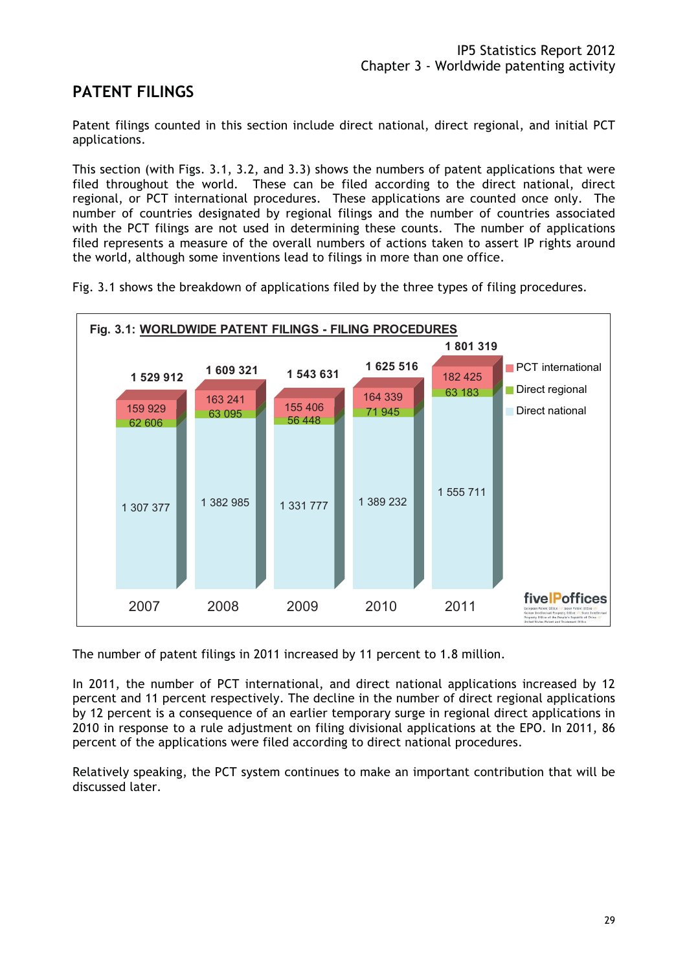# **PATENT FILINGS**

Patent filings counted in this section include direct national, direct regional, and initial PCT applications.

This section (with Figs. 3.1, 3.2, and 3.3) shows the numbers of patent applications that were filed throughout the world. These can be filed according to the direct national, direct regional, or PCT international procedures. These applications are counted once only. The number of countries designated by regional filings and the number of countries associated with the PCT filings are not used in determining these counts. The number of applications filed represents a measure of the overall numbers of actions taken to assert IP rights around the world, although some inventions lead to filings in more than one office.

Fig. 3.1 shows the breakdown of applications filed by the three types of filing procedures.



The number of patent filings in 2011 increased by 11 percent to 1.8 million.

In 2011, the number of PCT international, and direct national applications increased by 12 percent and 11 percent respectively. The decline in the number of direct regional applications by 12 percent is a consequence of an earlier temporary surge in regional direct applications in 2010 in response to a rule adjustment on filing divisional applications at the EPO. In 2011, 86 percent of the applications were filed according to direct national procedures.

Relatively speaking, the PCT system continues to make an important contribution that will be discussed later.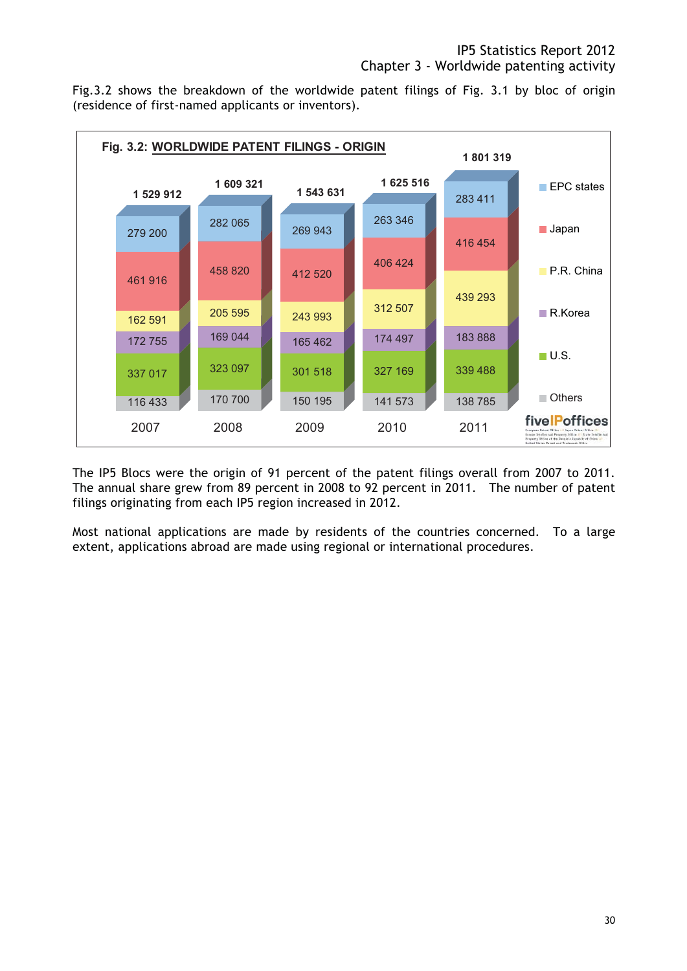Fig.3.2 shows the breakdown of the worldwide patent filings of Fig. 3.1 by bloc of origin (residence of first-named applicants or inventors).



The IP5 Blocs were the origin of 91 percent of the patent filings overall from 2007 to 2011. The annual share grew from 89 percent in 2008 to 92 percent in 2011. The number of patent filings originating from each IP5 region increased in 2012.

Most national applications are made by residents of the countries concerned. To a large extent, applications abroad are made using regional or international procedures.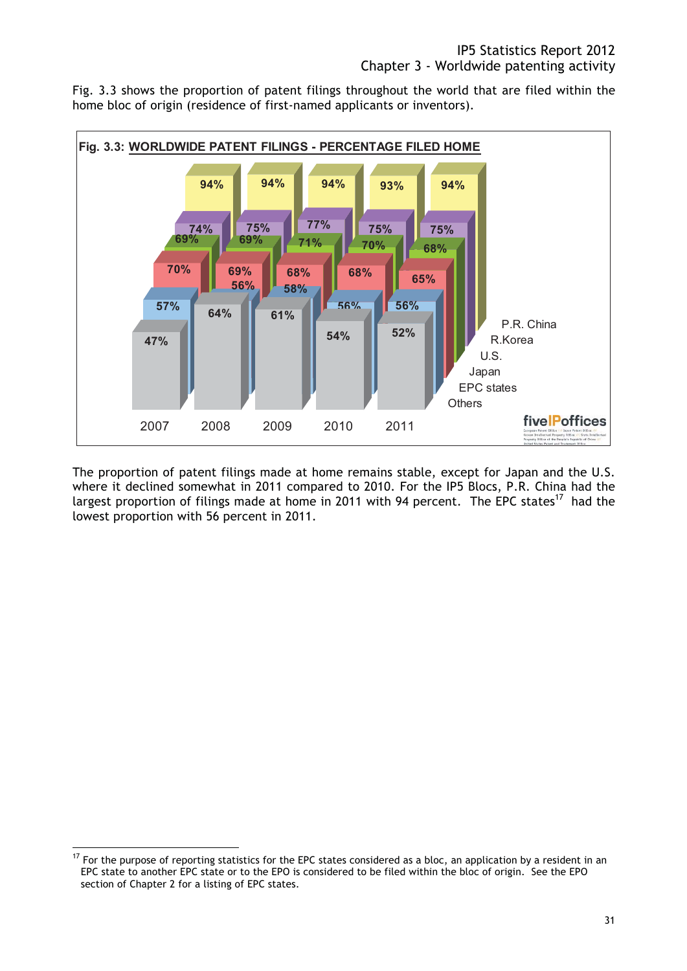Fig. 3.3 shows the proportion of patent filings throughout the world that are filed within the home bloc of origin (residence of first-named applicants or inventors).



The proportion of patent filings made at home remains stable, except for Japan and the U.S. where it declined somewhat in 2011 compared to 2010. For the IP5 Blocs, P.R. China had the largest proportion of filings made at home in 2011 with 94 percent. The EPC states<sup>17</sup> had the lowest proportion with 56 percent in 2011.

 $17$  For the purpose of reporting statistics for the EPC states considered as a bloc, an application by a resident in an EPC state to another EPC state or to the EPO is considered to be filed within the bloc of origin. See the EPO section of Chapter 2 for a listing of EPC states.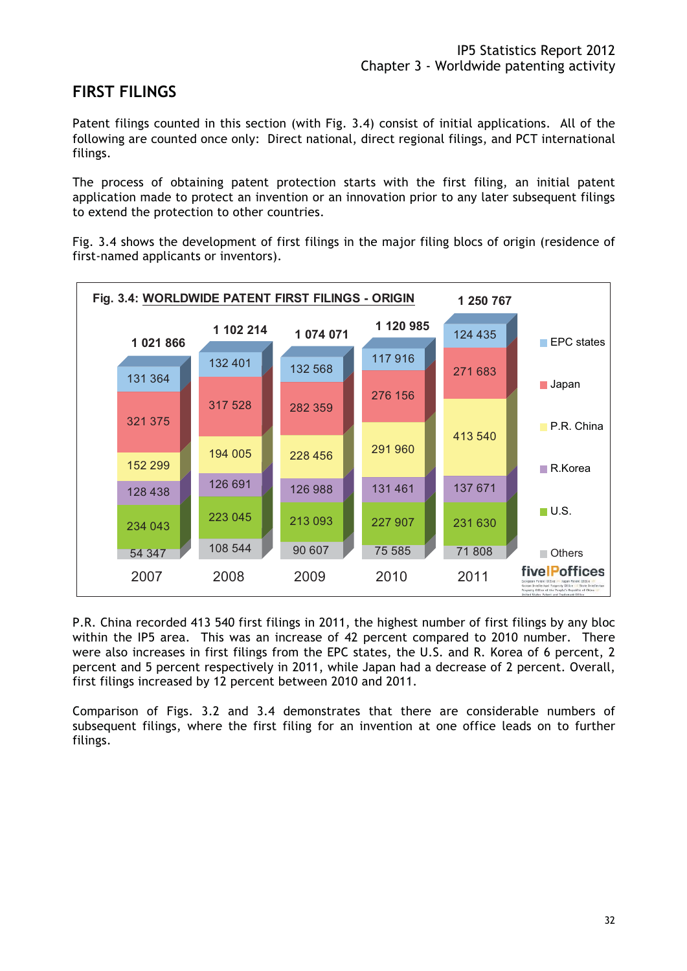# **FIRST FILINGS**

Patent filings counted in this section (with Fig. 3.4) consist of initial applications. All of the following are counted once only: Direct national, direct regional filings, and PCT international filings.

The process of obtaining patent protection starts with the first filing, an initial patent application made to protect an invention or an innovation prior to any later subsequent filings to extend the protection to other countries.

Fig. 3.4 shows the development of first filings in the major filing blocs of origin (residence of first-named applicants or inventors).



P.R. China recorded 413 540 first filings in 2011, the highest number of first filings by any bloc within the IP5 area. This was an increase of 42 percent compared to 2010 number. There were also increases in first filings from the EPC states, the U.S. and R. Korea of 6 percent, 2 percent and 5 percent respectively in 2011, while Japan had a decrease of 2 percent. Overall, first filings increased by 12 percent between 2010 and 2011.

Comparison of Figs. 3.2 and 3.4 demonstrates that there are considerable numbers of subsequent filings, where the first filing for an invention at one office leads on to further filings.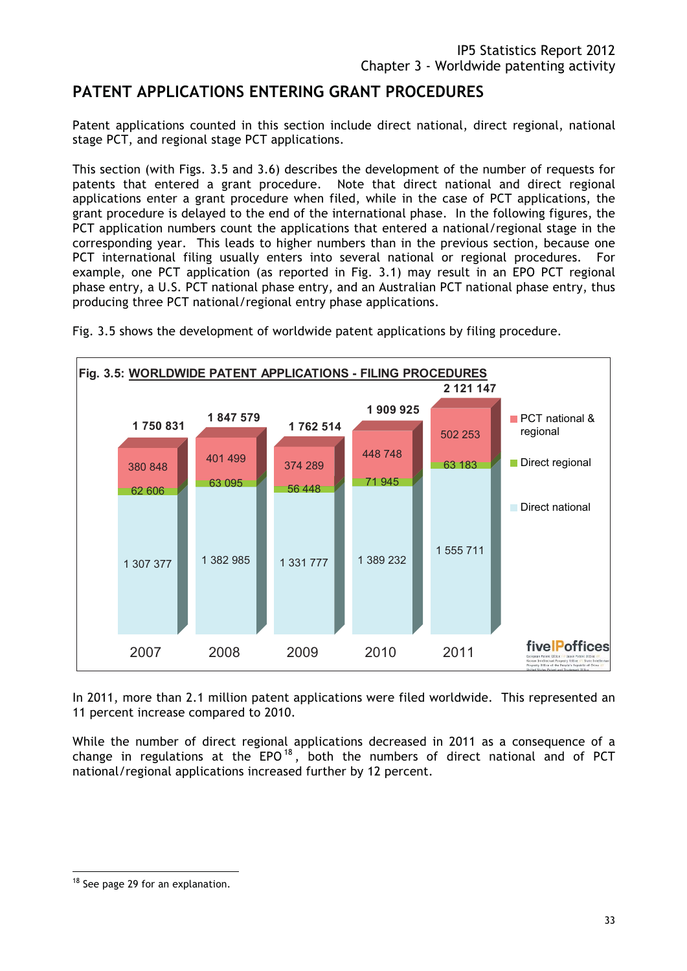# **PATENT APPLICATIONS ENTERING GRANT PROCEDURES**

Patent applications counted in this section include direct national, direct regional, national stage PCT, and regional stage PCT applications.

This section (with Figs. 3.5 and 3.6) describes the development of the number of requests for patents that entered a grant procedure. Note that direct national and direct regional applications enter a grant procedure when filed, while in the case of PCT applications, the grant procedure is delayed to the end of the international phase. In the following figures, the PCT application numbers count the applications that entered a national/regional stage in the corresponding year. This leads to higher numbers than in the previous section, because one PCT international filing usually enters into several national or regional procedures. For example, one PCT application (as reported in Fig. 3.1) may result in an EPO PCT regional phase entry, a U.S. PCT national phase entry, and an Australian PCT national phase entry, thus producing three PCT national/regional entry phase applications.



Fig. 3.5 shows the development of worldwide patent applications by filing procedure.

In 2011, more than 2.1 million patent applications were filed worldwide. This represented an 11 percent increase compared to 2010.

While the number of direct regional applications decreased in 2011 as a consequence of a change in regulations at the  $EPO^{18}$ , both the numbers of direct national and of PCT national/regional applications increased further by 12 percent.

<sup>&</sup>lt;sup>18</sup> See page 29 for an explanation.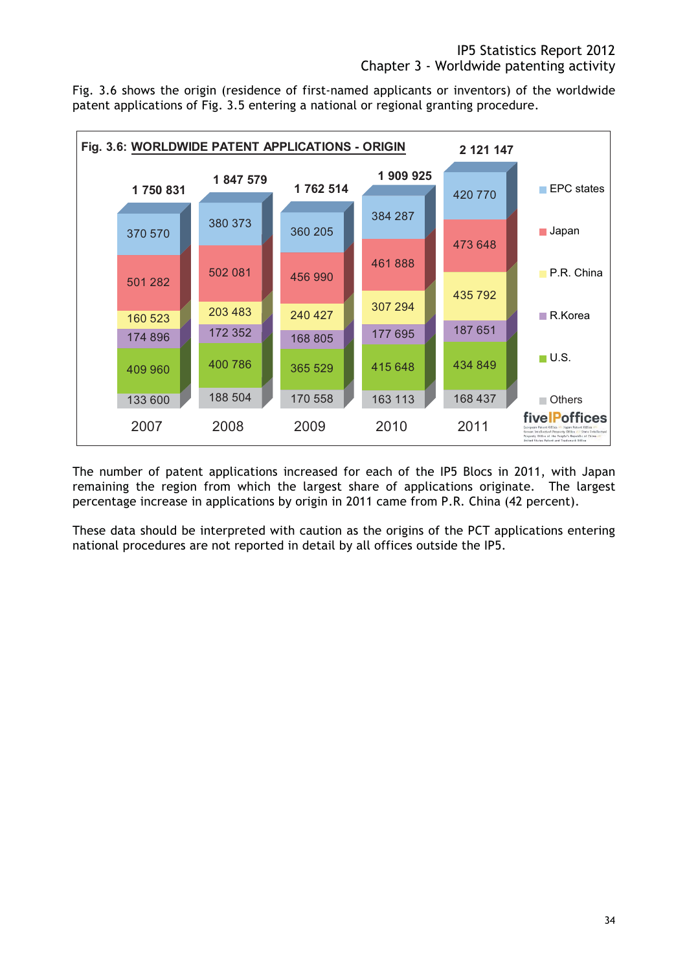Fig. 3.6 shows the origin (residence of first-named applicants or inventors) of the worldwide patent applications of Fig. 3.5 entering a national or regional granting procedure.



The number of patent applications increased for each of the IP5 Blocs in 2011, with Japan remaining the region from which the largest share of applications originate. The largest percentage increase in applications by origin in 2011 came from P.R. China (42 percent).

These data should be interpreted with caution as the origins of the PCT applications entering national procedures are not reported in detail by all offices outside the IP5.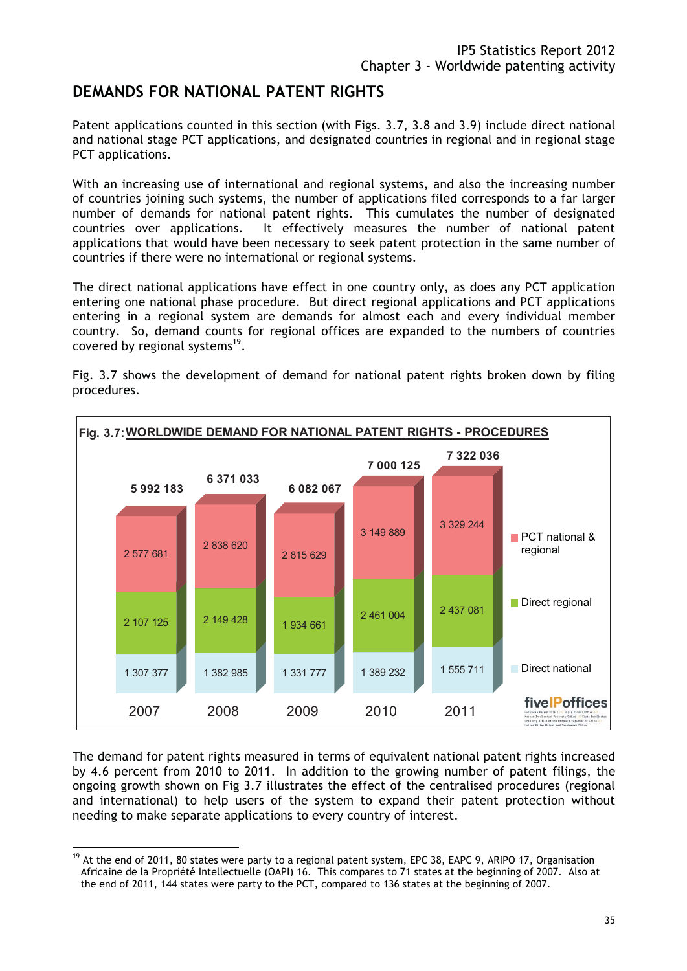## **DEMANDS FOR NATIONAL PATENT RIGHTS**

Patent applications counted in this section (with Figs. 3.7, 3.8 and 3.9) include direct national and national stage PCT applications, and designated countries in regional and in regional stage PCT applications.

With an increasing use of international and regional systems, and also the increasing number of countries joining such systems, the number of applications filed corresponds to a far larger number of demands for national patent rights. This cumulates the number of designated countries over applications. It effectively measures the number of national patent applications that would have been necessary to seek patent protection in the same number of countries if there were no international or regional systems.

The direct national applications have effect in one country only, as does any PCT application entering one national phase procedure. But direct regional applications and PCT applications entering in a regional system are demands for almost each and every individual member country. So, demand counts for regional offices are expanded to the numbers of countries covered by regional systems<sup>19</sup>.

Fig. 3.7 shows the development of demand for national patent rights broken down by filing procedures.



The demand for patent rights measured in terms of equivalent national patent rights increased by 4.6 percent from 2010 to 2011. In addition to the growing number of patent filings, the ongoing growth shown on Fig 3.7 illustrates the effect of the centralised procedures (regional and international) to help users of the system to expand their patent protection without needing to make separate applications to every country of interest.

<sup>&</sup>lt;sup>19</sup> At the end of 2011, 80 states were party to a regional patent system, EPC 38, EAPC 9, ARIPO 17, Organisation Africaine de la Propriété Intellectuelle (OAPI) 16. This compares to 71 states at the beginning of 2007. Also at the end of 2011, 144 states were party to the PCT, compared to 136 states at the beginning of 2007.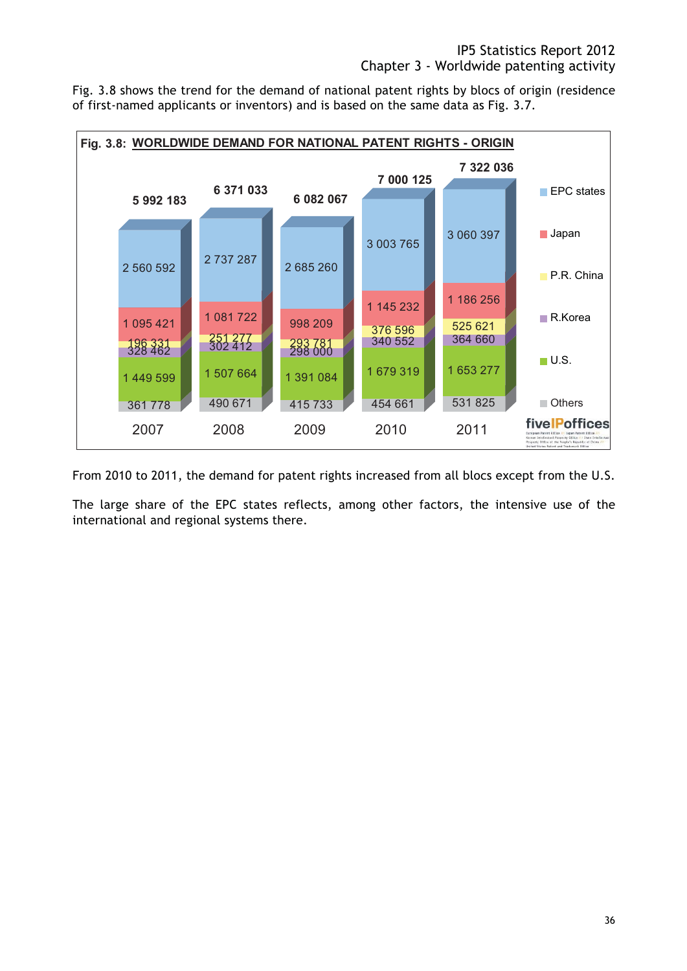Fig. 3.8 shows the trend for the demand of national patent rights by blocs of origin (residence of first-named applicants or inventors) and is based on the same data as Fig. 3.7.



From 2010 to 2011, the demand for patent rights increased from all blocs except from the U.S.

The large share of the EPC states reflects, among other factors, the intensive use of the international and regional systems there.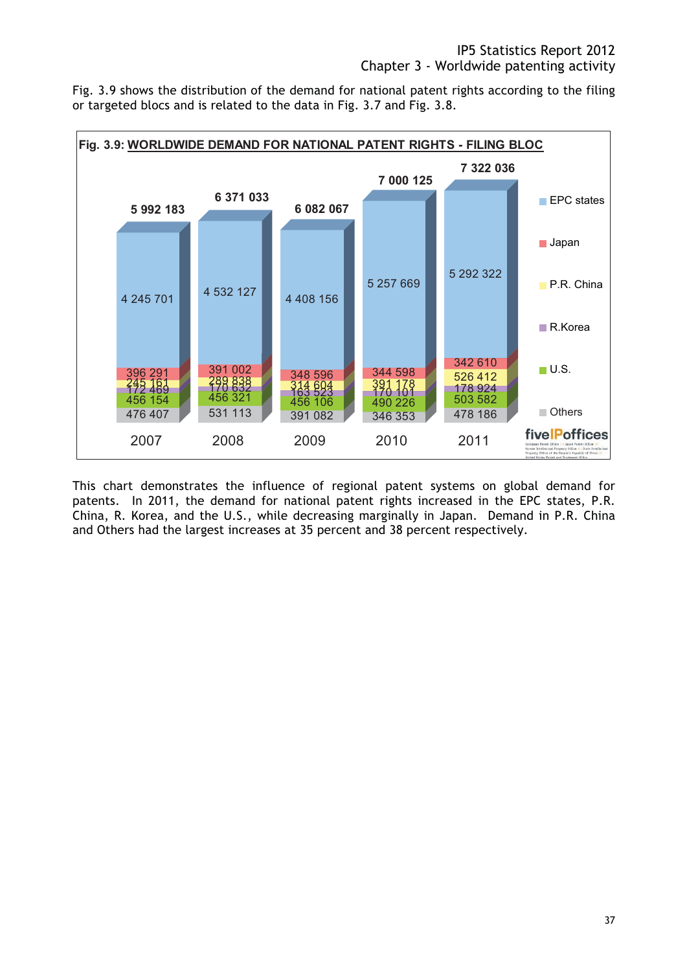Fig. 3.9 shows the distribution of the demand for national patent rights according to the filing or targeted blocs and is related to the data in Fig. 3.7 and Fig. 3.8.



This chart demonstrates the influence of regional patent systems on global demand for patents. In 2011, the demand for national patent rights increased in the EPC states, P.R. China, R. Korea, and the U.S., while decreasing marginally in Japan. Demand in P.R. China and Others had the largest increases at 35 percent and 38 percent respectively.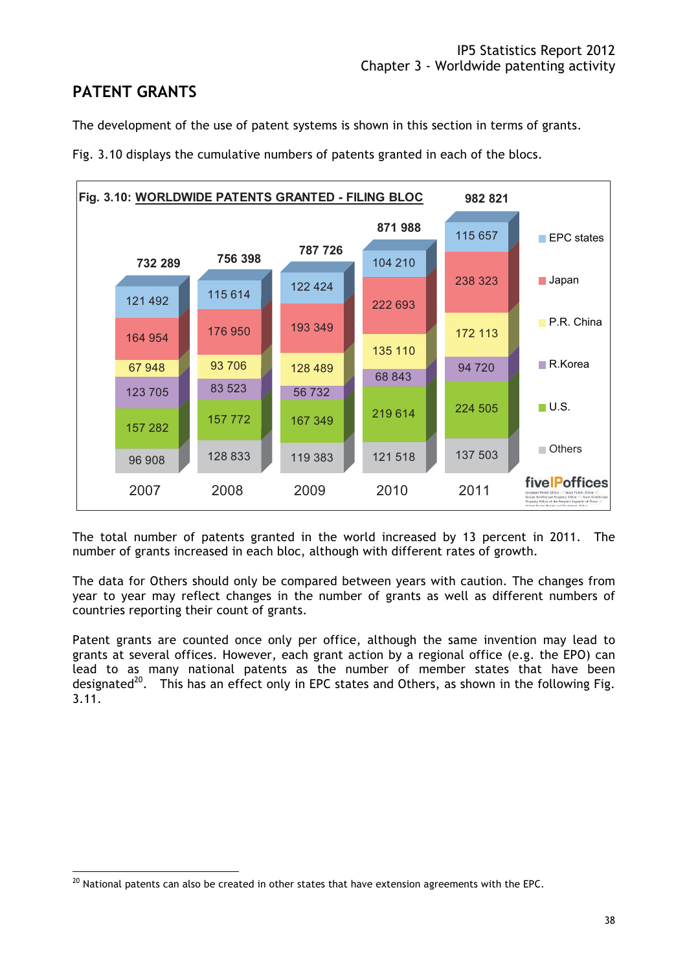# **PATENT GRANTS**

The development of the use of patent systems is shown in this section in terms of grants.



Fig. 3.10 displays the cumulative numbers of patents granted in each of the blocs.

The total number of patents granted in the world increased by 13 percent in 2011. The number of grants increased in each bloc, although with different rates of growth.

The data for Others should only be compared between years with caution. The changes from year to year may reflect changes in the number of grants as well as different numbers of countries reporting their count of grants.

Patent grants are counted once only per office, although the same invention may lead to grants at several offices. However, each grant action by a regional office (e.g. the EPO) can lead to as many national patents as the number of member states that have been designated<sup>20</sup>. This has an effect only in EPC states and Others, as shown in the following Fig. 3.11.

 $^{20}$  National patents can also be created in other states that have extension agreements with the EPC.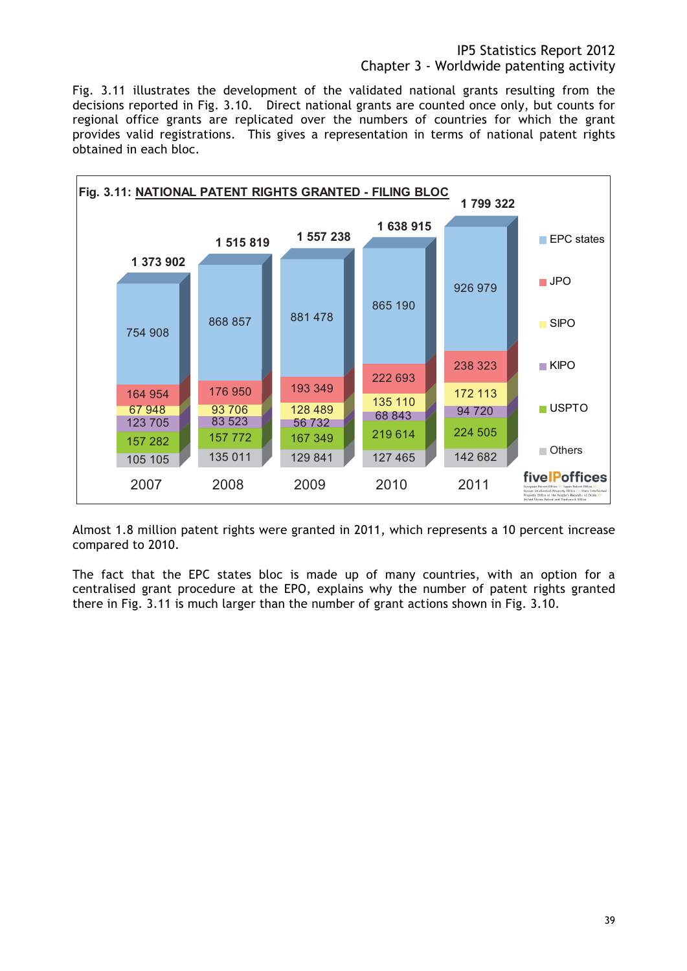Fig. 3.11 illustrates the development of the validated national grants resulting from the decisions reported in Fig. 3.10. Direct national grants are counted once only, but counts for regional office grants are replicated over the numbers of countries for which the grant provides valid registrations. This gives a representation in terms of national patent rights obtained in each bloc.



Almost 1.8 million patent rights were granted in 2011, which represents a 10 percent increase compared to 2010.

The fact that the EPC states bloc is made up of many countries, with an option for a centralised grant procedure at the EPO, explains why the number of patent rights granted there in Fig. 3.11 is much larger than the number of grant actions shown in Fig. 3.10.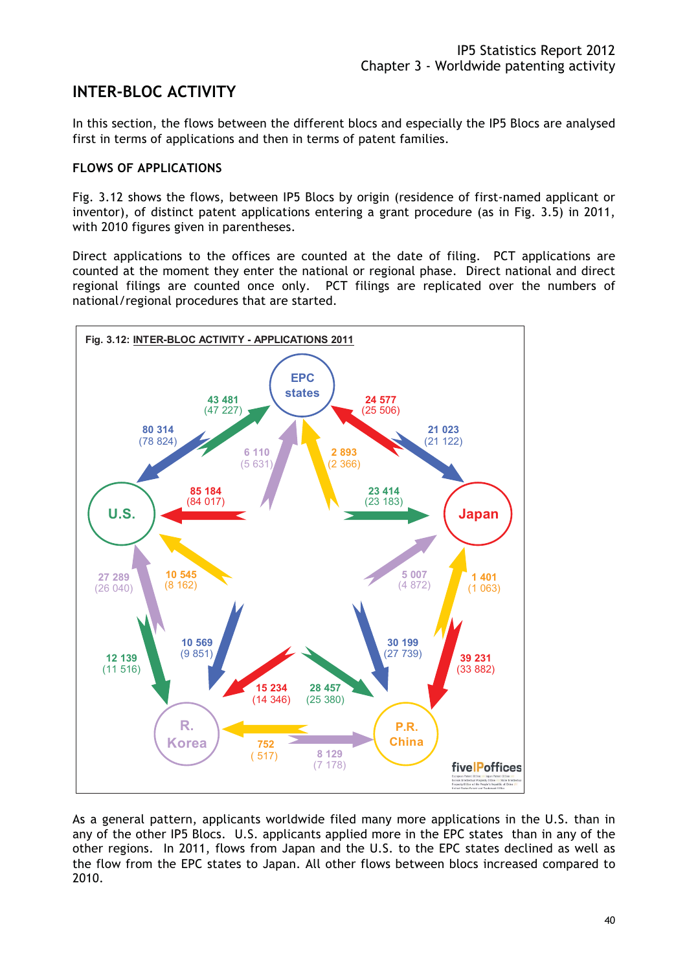# **INTER-BLOC ACTIVITY**

In this section, the flows between the different blocs and especially the IP5 Blocs are analysed first in terms of applications and then in terms of patent families.

#### **FLOWS OF APPLICATIONS**

Fig. 3.12 shows the flows, between IP5 Blocs by origin (residence of first-named applicant or inventor), of distinct patent applications entering a grant procedure (as in Fig. 3.5) in 2011, with 2010 figures given in parentheses.

Direct applications to the offices are counted at the date of filing. PCT applications are counted at the moment they enter the national or regional phase. Direct national and direct regional filings are counted once only. PCT filings are replicated over the numbers of national/regional procedures that are started.



As a general pattern, applicants worldwide filed many more applications in the U.S. than in any of the other IP5 Blocs. U.S. applicants applied more in the EPC states than in any of the other regions. In 2011, flows from Japan and the U.S. to the EPC states declined as well as the flow from the EPC states to Japan. All other flows between blocs increased compared to 2010.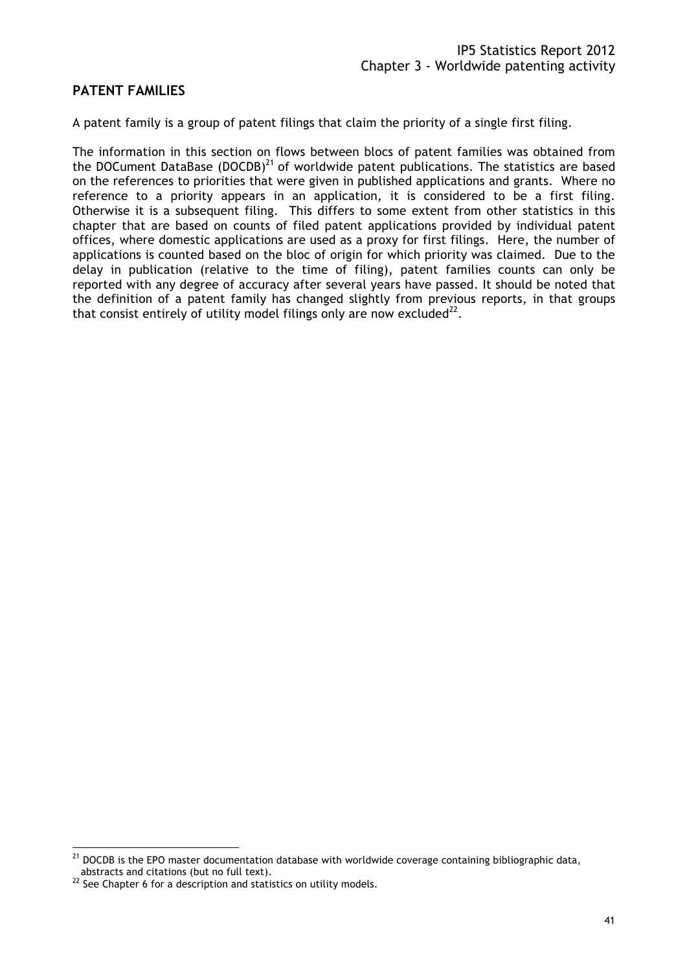### **PATENT FAMILIES**

A patent family is a group of patent filings that claim the priority of a single first filing.

The information in this section on flows between blocs of patent families was obtained from the DOCument DataBase (DOCDB)<sup>21</sup> of worldwide patent publications. The statistics are based on the references to priorities that were given in published applications and grants. Where no reference to a priority appears in an application, it is considered to be a first filing. Otherwise it is a subsequent filing. This differs to some extent from other statistics in this chapter that are based on counts of filed patent applications provided by individual patent offices, where domestic applications are used as a proxy for first filings. Here, the number of applications is counted based on the bloc of origin for which priority was claimed. Due to the delay in publication (relative to the time of filing), patent families counts can only be reported with any degree of accuracy after several years have passed. It should be noted that the definition of a patent family has changed slightly from previous reports, in that groups that consist entirely of utility model filings only are now excluded<sup>22</sup>.

 $^{21}$  DOCDB is the EPO master documentation database with worldwide coverage containing bibliographic data, abstracts and citations (but no full text).<br><sup>22</sup> See Chapter 6 for a description and statistics on utility models.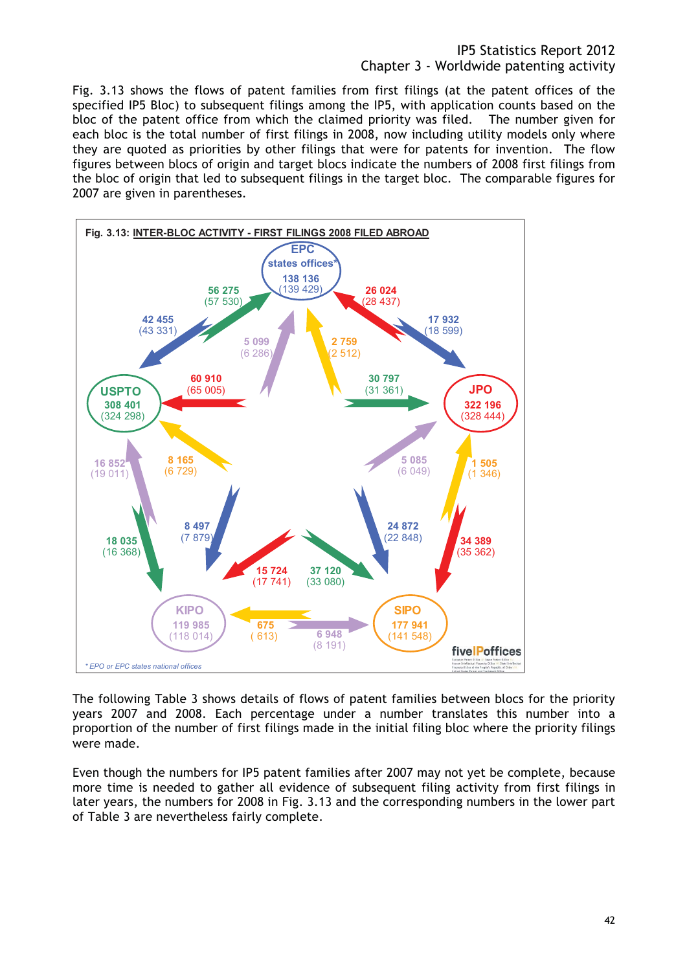Fig. 3.13 shows the flows of patent families from first filings (at the patent offices of the specified IP5 Bloc) to subsequent filings among the IP5, with application counts based on the bloc of the patent office from which the claimed priority was filed. The number given for each bloc is the total number of first filings in 2008, now including utility models only where they are quoted as priorities by other filings that were for patents for invention. The flow figures between blocs of origin and target blocs indicate the numbers of 2008 first filings from the bloc of origin that led to subsequent filings in the target bloc. The comparable figures for 2007 are given in parentheses.



The following Table 3 shows details of flows of patent families between blocs for the priority years 2007 and 2008. Each percentage under a number translates this number into a proportion of the number of first filings made in the initial filing bloc where the priority filings were made.

Even though the numbers for IP5 patent families after 2007 may not yet be complete, because more time is needed to gather all evidence of subsequent filing activity from first filings in later years, the numbers for 2008 in Fig. 3.13 and the corresponding numbers in the lower part of Table 3 are nevertheless fairly complete.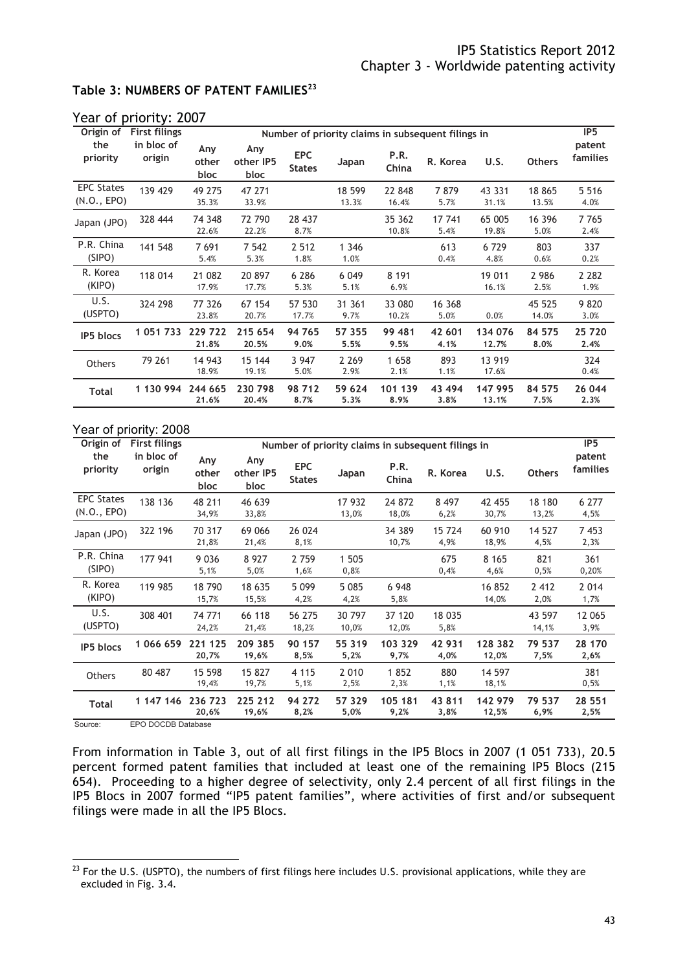#### **Table 3: NUMBERS OF PATENT FAMILIES<sup>23</sup>**

| Origin of                        | <b>First filings</b> |                      |                          |                             |                 |                 | Number of priority claims in subsequent filings in |                  |                 | IP <sub>5</sub>           |
|----------------------------------|----------------------|----------------------|--------------------------|-----------------------------|-----------------|-----------------|----------------------------------------------------|------------------|-----------------|---------------------------|
| the<br>priority                  | in bloc of<br>origin | Any<br>other<br>bloc | Any<br>other IP5<br>bloc | <b>EPC</b><br><b>States</b> | Japan           | P.R.<br>China   | R. Korea                                           | U.S.             | <b>Others</b>   | patent<br><b>families</b> |
| <b>EPC States</b><br>(N.0., EPO) | 139 429              | 49 275<br>35.3%      | 47 271<br>33.9%          |                             | 18 599<br>13.3% | 22 848<br>16.4% | 7879<br>5.7%                                       | 43 331<br>31.1%  | 18 865<br>13.5% | 5 5 1 6<br>4.0%           |
| Japan (JPO)                      | 328 444              | 74 348<br>22.6%      | 72 790<br>22.2%          | 28 437<br>8.7%              |                 | 35 362<br>10.8% | 17 741<br>5.4%                                     | 65 005<br>19.8%  | 16 396<br>5.0%  | 7765<br>2.4%              |
| P.R. China<br>(SIPO)             | 141 548              | 7691<br>5.4%         | 7 5 42<br>5.3%           | 2 5 1 2<br>1.8%             | 1 3 4 6<br>1.0% |                 | 613<br>0.4%                                        | 6729<br>4.8%     | 803<br>0.6%     | 337<br>0.2%               |
| R. Korea<br>(KIPO)               | 118 014              | 21 082<br>17.9%      | 20 897<br>17.7%          | 6 2 8 6<br>5.3%             | 6 0 4 9<br>5.1% | 8 1 9 1<br>6.9% |                                                    | 19 011<br>16.1%  | 2 9 8 6<br>2.5% | 2 2 8 2<br>1.9%           |
| U.S.<br>(USPTO)                  | 324 298              | 77 326<br>23.8%      | 67 154<br>20.7%          | 57 530<br>17.7%             | 31 361<br>9.7%  | 33 080<br>10.2% | 16 368<br>5.0%                                     | 0.0%             | 45 525<br>14.0% | 9820<br>3.0%              |
| <b>IP5</b> blocs                 | 1 051 733            | 229 722<br>21.8%     | 215 654<br>20.5%         | 94 765<br>9.0%              | 57 355<br>5.5%  | 99 481<br>9.5%  | 42 601<br>4.1%                                     | 134 076<br>12.7% | 84 575<br>8.0%  | 25 720<br>2.4%            |
| Others                           | 79 261               | 14 943<br>18.9%      | 15 144<br>19.1%          | 3 9 4 7<br>5.0%             | 2 2 6 9<br>2.9% | 1658<br>2.1%    | 893<br>1.1%                                        | 13 919<br>17.6%  |                 | 324<br>0.4%               |
| <b>Total</b>                     | 1 130 994            | 244 665<br>21.6%     | 230 798<br>20.4%         | 98 712<br>8.7%              | 59 624<br>5.3%  | 101 139<br>8.9% | 43 494<br>3.8%                                     | 147 995<br>13.1% | 84 575<br>7.5%  | 26 044<br>2.3%            |

#### Year of priority: 2007

| Origin of                        | <b>First filings</b> |                      |                          |                             |                 | Number of priority claims in subsequent filings in |                 |                  |                 | IP <sub>5</sub>    |
|----------------------------------|----------------------|----------------------|--------------------------|-----------------------------|-----------------|----------------------------------------------------|-----------------|------------------|-----------------|--------------------|
| the<br>priority                  | in bloc of<br>origin | Any<br>other<br>bloc | Any<br>other IP5<br>bloc | <b>EPC</b><br><b>States</b> | Japan           | P.R.<br>China                                      | R. Korea        | U.S.             | <b>Others</b>   | patent<br>families |
| <b>EPC States</b><br>(N.0., EPO) | 138 136              | 48 211<br>34,9%      | 46 639<br>33,8%          |                             | 17 932<br>13,0% | 24 872<br>18,0%                                    | 8 4 9 7<br>6,2% | 42 455<br>30,7%  | 18 180<br>13,2% | 6 277<br>4,5%      |
| Japan (JPO)                      | 322 196              | 70 317<br>21,8%      | 69 066<br>21,4%          | 26 024<br>8,1%              |                 | 34 389<br>10,7%                                    | 15 724<br>4,9%  | 60 910<br>18,9%  | 14 527<br>4,5%  | 7453<br>2,3%       |
| P.R. China<br>(SIPO)             | 177 941              | 9 0 3 6<br>5,1%      | 8 9 2 7<br>5,0%          | 2 7 5 9<br>1,6%             | 1 505<br>0,8%   |                                                    | 675<br>0,4%     | 8 1 6 5<br>4,6%  | 821<br>0,5%     | 361<br>0,20%       |
| R. Korea<br>(KIPO)               | 119 985              | 18790<br>15,7%       | 18 635<br>15,5%          | 5 0 9 9<br>4,2%             | 5 0 8 5<br>4,2% | 6 9 4 8<br>5,8%                                    |                 | 16 852<br>14,0%  | 2 4 1 2<br>2,0% | 2 0 1 4<br>1,7%    |
| U.S.<br>(USPTO)                  | 308 401              | 74 771<br>24,2%      | 66 118<br>21,4%          | 56 275<br>18,2%             | 30 797<br>10,0% | 37 120<br>12,0%                                    | 18 035<br>5,8%  |                  | 43 597<br>14,1% | 12 065<br>3,9%     |
| <b>IP5</b> blocs                 | 1066659              | 221 125<br>20,7%     | 209 385<br>19,6%         | 90 157<br>8,5%              | 55 319<br>5,2%  | 103 329<br>9,7%                                    | 42 931<br>4,0%  | 128 382<br>12,0% | 79 537<br>7,5%  | 28 170<br>2,6%     |
| Others                           | 80 487               | 15 598<br>19,4%      | 15 827<br>19,7%          | 4 1 1 5<br>5,1%             | 2 0 1 0<br>2,5% | 1852<br>2,3%                                       | 880<br>1,1%     | 14 597<br>18,1%  |                 | 381<br>0,5%        |
| <b>Total</b>                     | 1 147 146            | 236 723<br>20,6%     | 225 212<br>19,6%         | 94 272<br>8,2%              | 57 329<br>5,0%  | 105 181<br>9,2%                                    | 43 811<br>3,8%  | 142 979<br>12,5% | 79 537<br>6,9%  | 28 551<br>2,5%     |
| Source:                          | FPO DOCDB Database   |                      |                          |                             |                 |                                                    |                 |                  |                 |                    |

From information in Table 3, out of all first filings in the IP5 Blocs in 2007 (1 051 733), 20.5 percent formed patent families that included at least one of the remaining IP5 Blocs (215 654). Proceeding to a higher degree of selectivity, only 2.4 percent of all first filings in the IP5 Blocs in 2007 formed "IP5 patent families", where activities of first and/or subsequent filings were made in all the IP5 Blocs.

 $^{23}$  For the U.S. (USPTO), the numbers of first filings here includes U.S. provisional applications, while they are excluded in Fig. 3.4.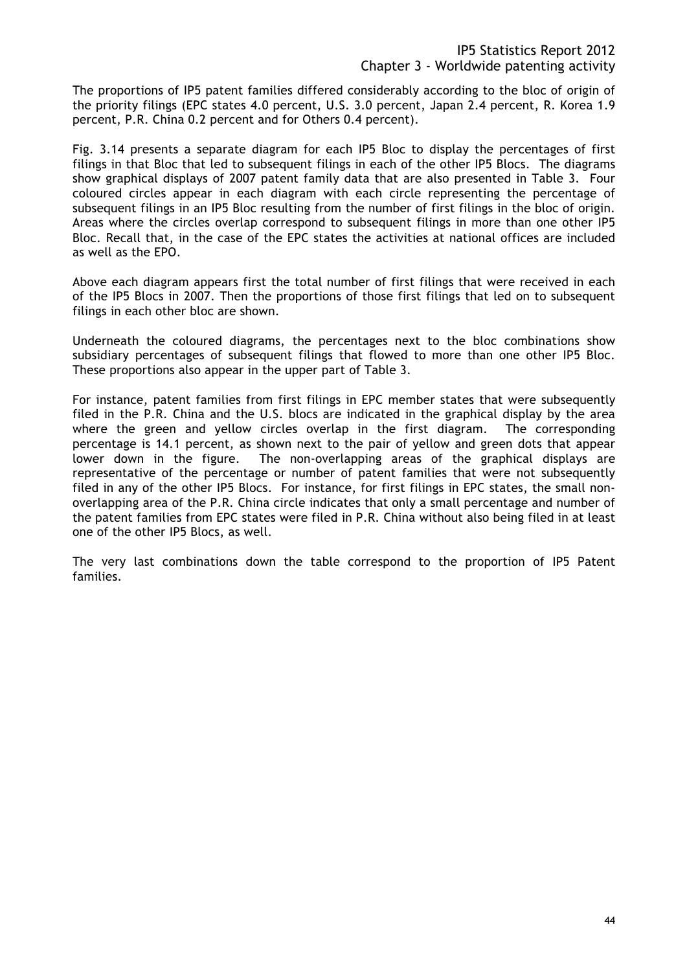The proportions of IP5 patent families differed considerably according to the bloc of origin of the priority filings (EPC states 4.0 percent, U.S. 3.0 percent, Japan 2.4 percent, R. Korea 1.9 percent, P.R. China 0.2 percent and for Others 0.4 percent).

Fig. 3.14 presents a separate diagram for each IP5 Bloc to display the percentages of first filings in that Bloc that led to subsequent filings in each of the other IP5 Blocs. The diagrams show graphical displays of 2007 patent family data that are also presented in Table 3. Four coloured circles appear in each diagram with each circle representing the percentage of subsequent filings in an IP5 Bloc resulting from the number of first filings in the bloc of origin. Areas where the circles overlap correspond to subsequent filings in more than one other IP5 Bloc. Recall that, in the case of the EPC states the activities at national offices are included as well as the EPO.

Above each diagram appears first the total number of first filings that were received in each of the IP5 Blocs in 2007. Then the proportions of those first filings that led on to subsequent filings in each other bloc are shown.

Underneath the coloured diagrams, the percentages next to the bloc combinations show subsidiary percentages of subsequent filings that flowed to more than one other IP5 Bloc. These proportions also appear in the upper part of Table 3.

For instance, patent families from first filings in EPC member states that were subsequently filed in the P.R. China and the U.S. blocs are indicated in the graphical display by the area where the green and yellow circles overlap in the first diagram. The corresponding percentage is 14.1 percent, as shown next to the pair of yellow and green dots that appear lower down in the figure. The non-overlapping areas of the graphical displays are representative of the percentage or number of patent families that were not subsequently filed in any of the other IP5 Blocs. For instance, for first filings in EPC states, the small nonoverlapping area of the P.R. China circle indicates that only a small percentage and number of the patent families from EPC states were filed in P.R. China without also being filed in at least one of the other IP5 Blocs, as well.

The very last combinations down the table correspond to the proportion of IP5 Patent families.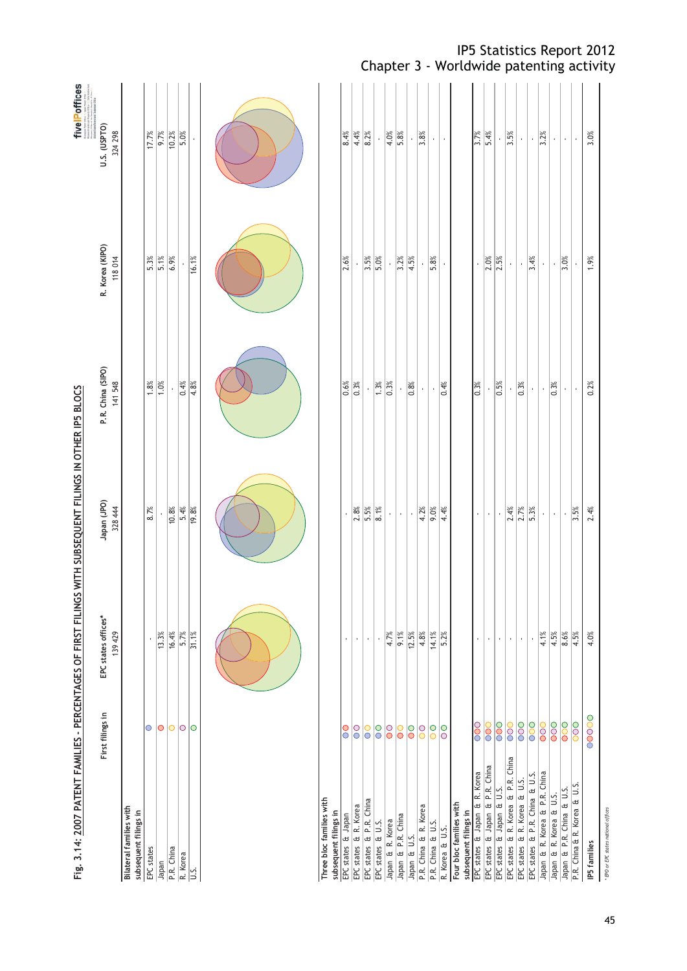| Fig. 3.14: 2007 PATENT FAMILIES - PERCENTAGES OF FIRST FILINGS WITH SUBSEQUENT FILINGS IN OTHER IP5 BLOCS |                                      |                                |                        |                              |                           | five Poffices          |
|-----------------------------------------------------------------------------------------------------------|--------------------------------------|--------------------------------|------------------------|------------------------------|---------------------------|------------------------|
|                                                                                                           | First filings in                     | EPC states offices*<br>139 429 | Japan (JPO)<br>328 444 | P.R. China (SIPO)<br>141 548 | R. Korea (KIPO)<br>118014 | U.S. (USPTO)<br>324298 |
| <b>Bilateral families with</b><br>subsequent filings in                                                   |                                      |                                |                        |                              |                           |                        |
| EPC states                                                                                                | $\circ$                              |                                | 8.7%                   |                              | $5.3\%$                   | 17.7%                  |
| Japan                                                                                                     | $\bigcirc$                           | 13.3%                          |                        | $\frac{88}{1.0\%}$           | 5.1%                      | 9.7%                   |
| P.R. China                                                                                                | 0 0 0                                | 16.4%                          | 10.8%                  |                              | 6.9%                      | $\frac{36}{10.2\%}$    |
| R. Korea                                                                                                  |                                      | 5.7%                           | 5.4%                   | $\frac{8}{10}$               |                           | 5.0%                   |
| S.                                                                                                        |                                      | 31.1%                          | 19.8%                  | 4.8%                         | 16.1%                     |                        |
|                                                                                                           |                                      |                                |                        |                              |                           |                        |
|                                                                                                           |                                      |                                |                        |                              |                           |                        |
|                                                                                                           |                                      |                                |                        |                              |                           |                        |
|                                                                                                           |                                      |                                |                        |                              |                           |                        |
|                                                                                                           |                                      |                                |                        |                              |                           |                        |
| Three bloc families with<br>subsequent filings in                                                         |                                      |                                |                        |                              |                           |                        |
| EPC states & Japan                                                                                        | $\rm{O}$                             |                                |                        | 0.6%                         | 2.6%                      | 8.4%                   |
| EPC states & R. Korea                                                                                     | $\overline{\circ}$                   | $\epsilon$                     | 2.8%                   | 0.3%                         |                           | 4.4%                   |
| EPC states & P.R. China                                                                                   | $\overline{O}$                       | $\mathbf{r}$                   | 5.5%                   |                              | 3.5%                      | 8.2%                   |
| EPC states & U.S.                                                                                         | $\overline{\circ}$                   | $\bar{1}$                      | $\frac{8}{8}$          | $\sqrt{1.3\%}$               | 5.0%                      |                        |
| Japan & R. Korea                                                                                          | $\overline{\circ}$                   | 4.7%                           | $\bar{\mathrm{t}}$     | $\frac{8}{20}$               | $\epsilon$                | 4.0%                   |
| Japan & P.R. China                                                                                        | $\overline{\circ}$                   | 9.1%                           | $\bar{1}$              | í,                           | 3.2%                      | 5.8%                   |
| P.R. China & R. Korea<br>Japan & U.S.                                                                     | $\overline{O}$<br>$\overline{\circ}$ | $12.5\%$<br>4.8%               | 4.2%<br>Î,             | 0.8%<br>$\epsilon$           | 4.5%                      | 3.8%                   |
| P.R. China & U.S.                                                                                         | $\overline{\circ}$                   | 14.1%                          | 9.0%                   | $\bar{\mathbf{r}}$           | 5.8%                      | $\bar{1}$              |
| R. Korea & U.S.                                                                                           | $\overline{\circ}$                   | 5.2%                           | 4.4%                   | 0.4%                         | $\mathbf{r}$              | $\epsilon$             |
| Four bloc families with                                                                                   |                                      |                                |                        |                              |                           |                        |
| EPC states & Japan & R. Korea<br>subsequent filings in                                                    |                                      |                                |                        | $\frac{8}{2\%}$              |                           | $\frac{8}{3.7\%}$      |
| EPC states & Japan & P.R. China                                                                           | $\rm{SO}$<br>$\overline{\text{00}}$  | r.                             | r.<br>$\mathbf{r}$     |                              |                           | 5.4%                   |
| EPC states & Japan & U.S.                                                                                 | $\overline{\text{00}}$               | Ŷ.                             | Î,                     | 0.5%                         | $\frac{2.0\%}{2.5\%}$     |                        |
| EPC states & R. Korea & P.R. China                                                                        | $\overline{00}$                      | ¥,                             |                        |                              |                           | 3.5%                   |
| EPC states & R. Korea & U.S.                                                                              | $\overline{\text{00}}$               | $\bar{1}$                      | $\frac{2.4\%}{2.7\%}$  | $\frac{8}{20}$               | Î,                        | $\bar{1}$              |
| EPC states & P.R. China & U.S.                                                                            | $\overline{\text{00}}$               | $\bar{\phantom{a}}$            | $\frac{8}{5.3\%}$      | í.                           | 3.4%                      | $\bar{\phantom{a}}$    |
| Japan & R. Korea & P.R. China                                                                             | $\overline{\text{00}}$               | 4.1%                           | Ŷ,                     | í,                           | í.                        | 3.2%                   |
| Japan & R. Korea & U.S.                                                                                   | $\overline{\text{00}}$               | $\frac{4.5%}{8.6%}$            | ¥,                     | 0.3%                         | í,                        |                        |
| Japan & P.R. China & U.S.                                                                                 | $\overline{\text{00}}$               |                                | Ŷ.                     | í.                           | $\frac{3.0\%}{2.0\%}$     | Ŷ,                     |
| P.R. China & R. Korea & U.S.                                                                              | $\overline{\text{00}}$               | 4.5%                           | $\frac{3.5\%}{2.5\%}$  | $\bar{\phantom{a}}$          |                           |                        |
| IP5 families                                                                                              | 00000                                | 4.0%                           | 2.4%                   | 0.2%                         | 1.9%                      | 3.0%                   |
| * EPO or EPC states national offices                                                                      |                                      |                                |                        |                              |                           |                        |

# Chapter 3 - Worldwide patenting activity

IP5 Statistics Report 2012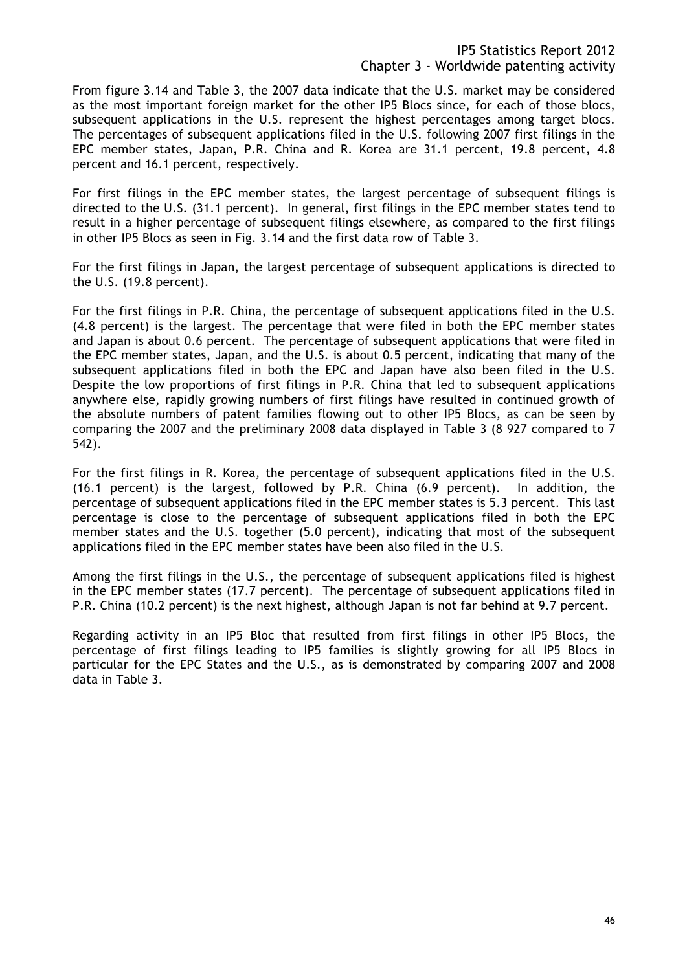From figure 3.14 and Table 3, the 2007 data indicate that the U.S. market may be considered as the most important foreign market for the other IP5 Blocs since, for each of those blocs, subsequent applications in the U.S. represent the highest percentages among target blocs. The percentages of subsequent applications filed in the U.S. following 2007 first filings in the EPC member states, Japan, P.R. China and R. Korea are 31.1 percent, 19.8 percent, 4.8 percent and 16.1 percent, respectively.

For first filings in the EPC member states, the largest percentage of subsequent filings is directed to the U.S. (31.1 percent). In general, first filings in the EPC member states tend to result in a higher percentage of subsequent filings elsewhere, as compared to the first filings in other IP5 Blocs as seen in Fig. 3.14 and the first data row of Table 3.

For the first filings in Japan, the largest percentage of subsequent applications is directed to the U.S. (19.8 percent).

For the first filings in P.R. China, the percentage of subsequent applications filed in the U.S. (4.8 percent) is the largest. The percentage that were filed in both the EPC member states and Japan is about 0.6 percent. The percentage of subsequent applications that were filed in the EPC member states, Japan, and the U.S. is about 0.5 percent, indicating that many of the subsequent applications filed in both the EPC and Japan have also been filed in the U.S. Despite the low proportions of first filings in P.R. China that led to subsequent applications anywhere else, rapidly growing numbers of first filings have resulted in continued growth of the absolute numbers of patent families flowing out to other IP5 Blocs, as can be seen by comparing the 2007 and the preliminary 2008 data displayed in Table 3 (8 927 compared to 7 542).

For the first filings in R. Korea, the percentage of subsequent applications filed in the U.S. (16.1 percent) is the largest, followed by P.R. China (6.9 percent). In addition, the percentage of subsequent applications filed in the EPC member states is 5.3 percent. This last percentage is close to the percentage of subsequent applications filed in both the EPC member states and the U.S. together (5.0 percent), indicating that most of the subsequent applications filed in the EPC member states have been also filed in the U.S.

Among the first filings in the U.S., the percentage of subsequent applications filed is highest in the EPC member states (17.7 percent). The percentage of subsequent applications filed in P.R. China (10.2 percent) is the next highest, although Japan is not far behind at 9.7 percent.

Regarding activity in an IP5 Bloc that resulted from first filings in other IP5 Blocs, the percentage of first filings leading to IP5 families is slightly growing for all IP5 Blocs in particular for the EPC States and the U.S., as is demonstrated by comparing 2007 and 2008 data in Table 3.